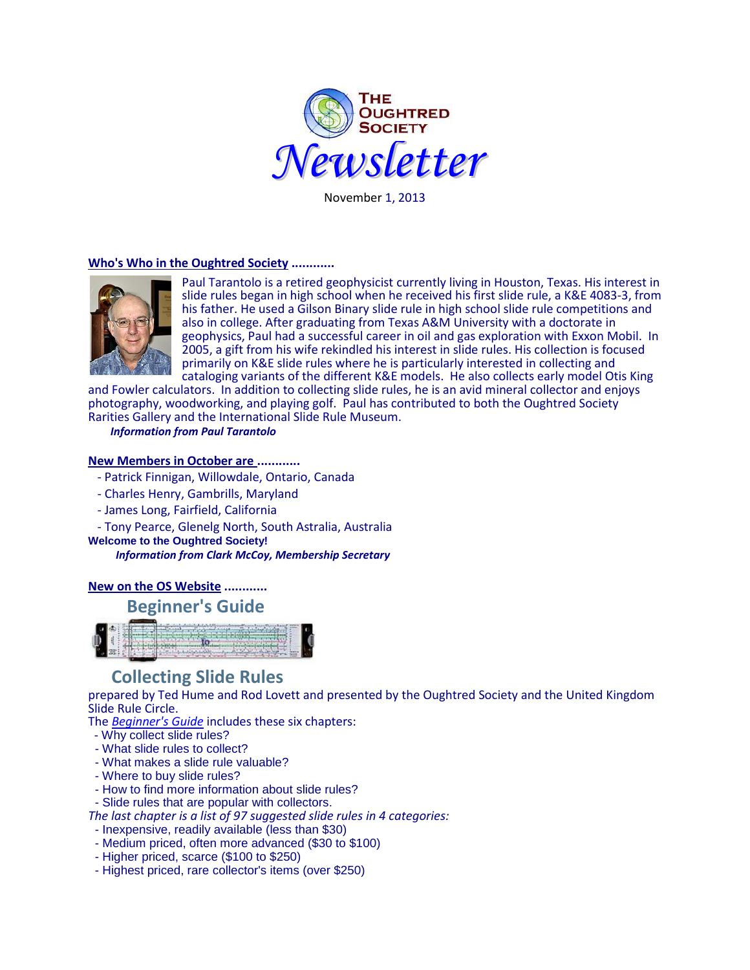

November 1, 2013

#### **Who's Who in the Oughtred Society ............**



Paul Tarantolo is a retired geophysicist currently living in Houston, Texas. His interest in slide rules began in high school when he received his first slide rule, a K&E 4083-3, from his father. He used a Gilson Binary slide rule in high school slide rule competitions and also in college. After graduating from Texas A&M University with a doctorate in geophysics, Paul had a successful career in oil and gas exploration with Exxon Mobil. In 2005, a gift from his wife rekindled his interest in slide rules. His collection is focused primarily on K&E slide rules where he is particularly interested in collecting and cataloging variants of the different K&E models. He also collects early model Otis King

and Fowler calculators. In addition to collecting slide rules, he is an avid mineral collector and enjoys photography, woodworking, and playing golf. Paul has contributed to both the Oughtred Society Rarities Gallery and the International Slide Rule Museum.

 *Information from Paul Tarantolo*

#### **New Members in October are ............**

- Patrick Finnigan, Willowdale, Ontario, Canada
- Charles Henry, Gambrills, Maryland
- James Long, Fairfield, California

- Tony Pearce, Glenelg North, South Astralia, Australia

**Welcome to the Oughtred Society!**

*Information from Clark McCoy, Membership Secretary*

## **New on the OS Website ............**

# **[Beginner's Guide](http://www.oughtred.org/flyers/BeginnersGuideToCollectingSlideRules131022.pdf)**



# **Collecting Slide Rules**

prepared by Ted Hume and Rod Lovett and presented by the Oughtred Society and the United Kingdom Slide Rule Circle.

The *[Beginner's Guide](http://www.oughtred.org/flyers/BeginnersGuideToCollectingSlideRules131022.pdf)* includes these six chapters:

- Why collect slide rules?
- What slide rules to collect?
- What makes a slide rule valuable?
- Where to buy slide rules?
- How to find more information about slide rules?
- Slide rules that are popular with collectors.

*The last chapter is a list of 97 suggested slide rules in 4 categories:*

- Inexpensive, readily available (less than \$30)
- Medium priced, often more advanced (\$30 to \$100)
- Higher priced, scarce (\$100 to \$250)
- Highest priced, rare collector's items (over \$250)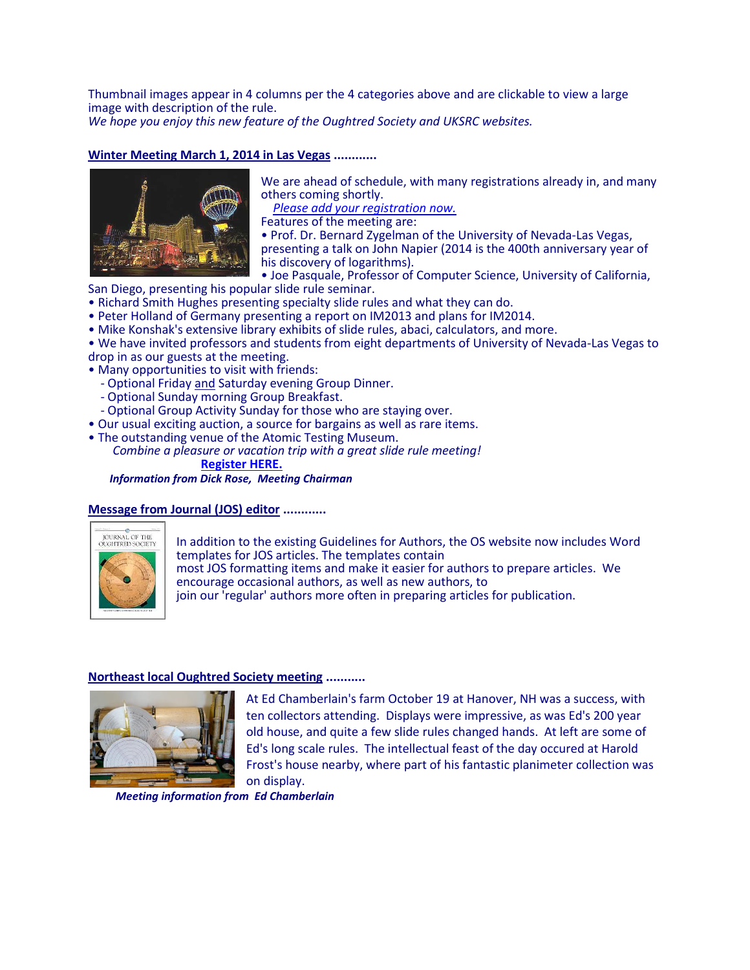Thumbnail images appear in 4 columns per the 4 categories above and are clickable to view a large image with description of the rule.

*We hope you enjoy this new feature of the Oughtred Society and UKSRC websites.*

## **Winter Meeting March 1, 2014 in Las Vegas ............**



We are ahead of schedule, with many registrations already in, and many others coming shortly.

 *[Please add your registration now.](http://www.oughtred.org/WinterMeeting_2014.shtml)*

Features of the meeting are:

• Prof. Dr. Bernard Zygelman of the University of Nevada-Las Vegas, presenting a talk on John Napier (2014 is the 400th anniversary year of his discovery of logarithms).

• Joe Pasquale, Professor of Computer Science, University of California,

San Diego, presenting his popular slide rule seminar.

- Richard Smith Hughes presenting specialty slide rules and what they can do.
- Peter Holland of Germany presenting a report on IM2013 and plans for IM2014.
- Mike Konshak's extensive library exhibits of slide rules, abaci, calculators, and more.

• We have invited professors and students from eight departments of University of Nevada-Las Vegas to drop in as our guests at the meeting.

- Many opportunities to visit with friends:
	- Optional Friday and Saturday evening Group Dinner.
	- Optional Sunday morning Group Breakfast.
- Optional Group Activity Sunday for those who are staying over.
- Our usual exciting auction, a source for bargains as well as rare items.
- The outstanding venue of the Atomic Testing Museum.

 *Combine a pleasure or vacation trip with a great slide rule meeting!*  **[Register HERE.](http://www.oughtred.org/WinterMeeting_2014.shtml)**

*Information from Dick Rose, Meeting Chairman*

#### **Message from Journal (JOS) editor ............**



In addition to the existing Guidelines for Authors, the OS website now includes Word templates for JOS articles. The templates contain most JOS formatting items and make it easier for authors to prepare articles. We encourage occasional authors, as well as new authors, to join our 'regular' authors more often in preparing articles for publication.

#### **Northeast local Oughtred Society meeting ...........**



At Ed Chamberlain's farm October 19 at Hanover, NH was a success, with ten collectors attending. Displays were impressive, as was Ed's 200 year old house, and quite a few slide rules changed hands. At left are some of Ed's long scale rules. The intellectual feast of the day occured at Harold Frost's house nearby, where part of his fantastic planimeter collection was on display.

*Meeting information from Ed Chamberlain*